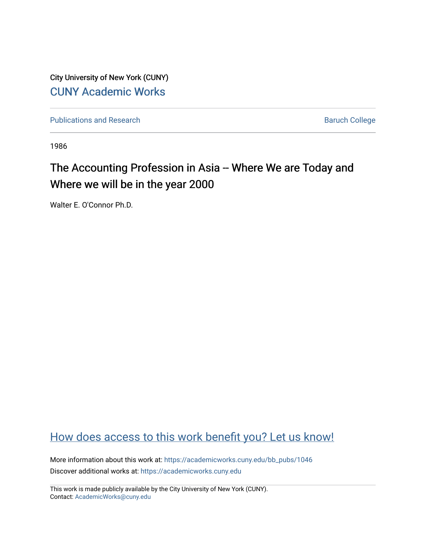City University of New York (CUNY) [CUNY Academic Works](https://academicworks.cuny.edu/) 

[Publications and Research](https://academicworks.cuny.edu/bb_pubs) **Baruch College** Baruch College

1986

# The Accounting Profession in Asia -- Where We are Today and Where we will be in the year 2000

Walter E. O'Connor Ph.D.

## [How does access to this work benefit you? Let us know!](http://ols.cuny.edu/academicworks/?ref=https://academicworks.cuny.edu/bb_pubs/1046)

More information about this work at: [https://academicworks.cuny.edu/bb\\_pubs/1046](https://academicworks.cuny.edu/bb_pubs/1046) Discover additional works at: [https://academicworks.cuny.edu](https://academicworks.cuny.edu/?)

This work is made publicly available by the City University of New York (CUNY). Contact: [AcademicWorks@cuny.edu](mailto:AcademicWorks@cuny.edu)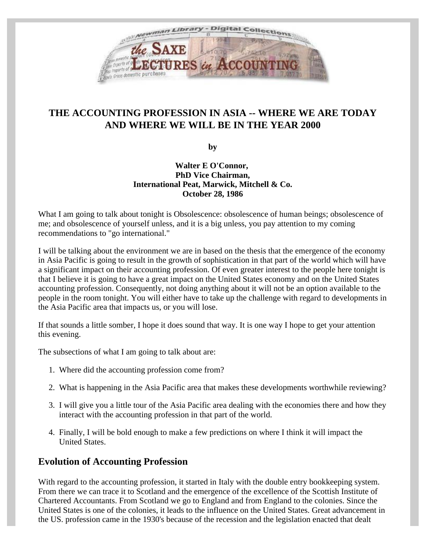

## **THE ACCOUNTING PROFESSION IN ASIA -- WHERE WE ARE TODAY AND WHERE WE WILL BE IN THE YEAR 2000**

**by**

**Walter E O'Connor, PhD Vice Chairman, International Peat, Marwick, Mitchell & Co. October 28, 1986**

What I am going to talk about tonight is Obsolescence: obsolescence of human beings; obsolescence of me; and obsolescence of yourself unless, and it is a big unless, you pay attention to my coming recommendations to "go international."

I will be talking about the environment we are in based on the thesis that the emergence of the economy in Asia Pacific is going to result in the growth of sophistication in that part of the world which will have a significant impact on their accounting profession. Of even greater interest to the people here tonight is that I believe it is going to have a great impact on the United States economy and on the United States accounting profession. Consequently, not doing anything about it will not be an option available to the people in the room tonight. You will either have to take up the challenge with regard to developments in the Asia Pacific area that impacts us, or you will lose.

If that sounds a little somber, I hope it does sound that way. It is one way I hope to get your attention this evening.

The subsections of what I am going to talk about are:

- 1. Where did the accounting profession come from?
- 2. What is happening in the Asia Pacific area that makes these developments worthwhile reviewing?
- 3. I will give you a little tour of the Asia Pacific area dealing with the economies there and how they interact with the accounting profession in that part of the world.
- 4. Finally, I will be bold enough to make a few predictions on where I think it will impact the United States.

#### **Evolution of Accounting Profession**

With regard to the accounting profession, it started in Italy with the double entry bookkeeping system. From there we can trace it to Scotland and the emergence of the excellence of the Scottish Institute of Chartered Accountants. From Scotland we go to England and from England to the colonies. Since the United States is one of the colonies, it leads to the influence on the United States. Great advancement in the US. profession came in the 1930's because of the recession and the legislation enacted that dealt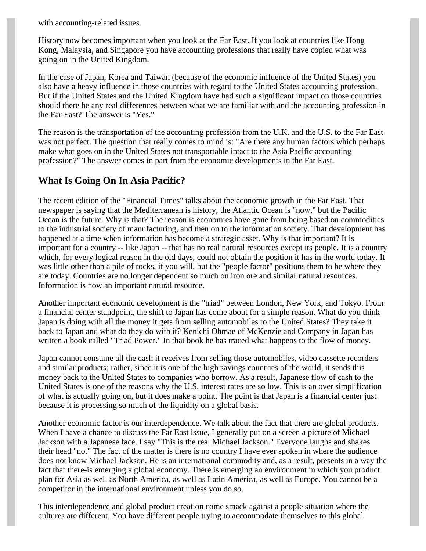with accounting-related issues.

History now becomes important when you look at the Far East. If you look at countries like Hong Kong, Malaysia, and Singapore you have accounting professions that really have copied what was going on in the United Kingdom.

In the case of Japan, Korea and Taiwan (because of the economic influence of the United States) you also have a heavy influence in those countries with regard to the United States accounting profession. But if the United States and the United Kingdom have had such a significant impact on those countries should there be any real differences between what we are familiar with and the accounting profession in the Far East? The answer is "Yes."

The reason is the transportation of the accounting profession from the U.K. and the U.S. to the Far East was not perfect. The question that really comes to mind is: "Are there any human factors which perhaps make what goes on in the United States not transportable intact to the Asia Pacific accounting profession?" The answer comes in part from the economic developments in the Far East.

## **What Is Going On In Asia Pacific?**

The recent edition of the "Financial Times" talks about the economic growth in the Far East. That newspaper is saying that the Mediterranean is history, the Atlantic Ocean is "now," but the Pacific Ocean is the future. Why is that? The reason is economies have gone from being based on commodities to the industrial society of manufacturing, and then on to the information society. That development has happened at a time when information has become a strategic asset. Why is that important? It is important for a country -- like Japan -- that has no real natural resources except its people. It is a country which, for every logical reason in the old days, could not obtain the position it has in the world today. It was little other than a pile of rocks, if you will, but the "people factor" positions them to be where they are today. Countries are no longer dependent so much on iron ore and similar natural resources. Information is now an important natural resource.

Another important economic development is the "triad" between London, New York, and Tokyo. From a financial center standpoint, the shift to Japan has come about for a simple reason. What do you think Japan is doing with all the money it gets from selling automobiles to the United States? They take it back to Japan and what do they do with it? Kenichi Ohmae of McKenzie and Company in Japan has written a book called "Triad Power." In that book he has traced what happens to the flow of money.

Japan cannot consume all the cash it receives from selling those automobiles, video cassette recorders and similar products; rather, since it is one of the high savings countries of the world, it sends this money back to the United States to companies who borrow. As a result, Japanese flow of cash to the United States is one of the reasons why the U.S. interest rates are so low. This is an over simplification of what is actually going on, but it does make a point. The point is that Japan is a financial center just because it is processing so much of the liquidity on a global basis.

Another economic factor is our interdependence. We talk about the fact that there are global products. When I have a chance to discuss the Far East issue, I generally put on a screen a picture of Michael Jackson with a Japanese face. I say "This is the real Michael Jackson." Everyone laughs and shakes their head "no." The fact of the matter is there is no country I have ever spoken in where the audience does not know Michael Jackson. He is an international commodity and, as a result, presents in a way the fact that there-is emerging a global economy. There is emerging an environment in which you product plan for Asia as well as North America, as well as Latin America, as well as Europe. You cannot be a competitor in the international environment unless you do so.

This interdependence and global product creation come smack against a people situation where the cultures are different. You have different people trying to accommodate themselves to this global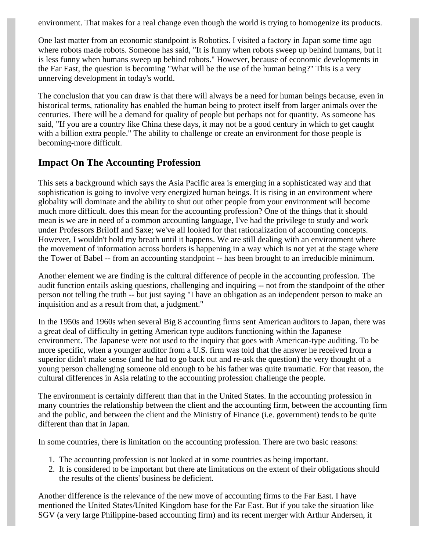environment. That makes for a real change even though the world is trying to homogenize its products.

One last matter from an economic standpoint is Robotics. I visited a factory in Japan some time ago where robots made robots. Someone has said, "It is funny when robots sweep up behind humans, but it is less funny when humans sweep up behind robots." However, because of economic developments in the Far East, the question is becoming "What will be the use of the human being?" This is a very unnerving development in today's world.

The conclusion that you can draw is that there will always be a need for human beings because, even in historical terms, rationality has enabled the human being to protect itself from larger animals over the centuries. There will be a demand for quality of people but perhaps not for quantity. As someone has said, "If you are a country like China these days, it may not be a good century in which to get caught with a billion extra people." The ability to challenge or create an environment for those people is becoming-more difficult.

#### **Impact On The Accounting Profession**

This sets a background which says the Asia Pacific area is emerging in a sophisticated way and that sophistication is going to involve very energized human beings. It is rising in an environment where globality will dominate and the ability to shut out other people from your environment will become much more difficult. does this mean for the accounting profession? One of the things that it should mean is we are in need of a common accounting language, I've had the privilege to study and work under Professors Briloff and Saxe; we've all looked for that rationalization of accounting concepts. However, I wouldn't hold my breath until it happens. We are still dealing with an environment where the movement of information across borders is happening in a way which is not yet at the stage where the Tower of Babel -- from an accounting standpoint -- has been brought to an irreducible minimum.

Another element we are finding is the cultural difference of people in the accounting profession. The audit function entails asking questions, challenging and inquiring -- not from the standpoint of the other person not telling the truth -- but just saying "I have an obligation as an independent person to make an inquisition and as a result from that, a judgment."

In the 1950s and 1960s when several Big 8 accounting firms sent American auditors to Japan, there was a great deal of difficulty in getting American type auditors functioning within the Japanese environment. The Japanese were not used to the inquiry that goes with American-type auditing. To be more specific, when a younger auditor from a U.S. firm was told that the answer he received from a superior didn't make sense (and he had to go back out and re-ask the question) the very thought of a young person challenging someone old enough to be his father was quite traumatic. For that reason, the cultural differences in Asia relating to the accounting profession challenge the people.

The environment is certainly different than that in the United States. In the accounting profession in many countries the relationship between the client and the accounting firm, between the accounting firm and the public, and between the client and the Ministry of Finance (i.e. government) tends to be quite different than that in Japan.

In some countries, there is limitation on the accounting profession. There are two basic reasons:

- 1. The accounting profession is not looked at in some countries as being important.
- 2. It is considered to be important but there ate limitations on the extent of their obligations should the results of the clients' business be deficient.

Another difference is the relevance of the new move of accounting firms to the Far East. I have mentioned the United States/United Kingdom base for the Far East. But if you take the situation like SGV (a very large Philippine-based accounting firm) and its recent merger with Arthur Andersen, it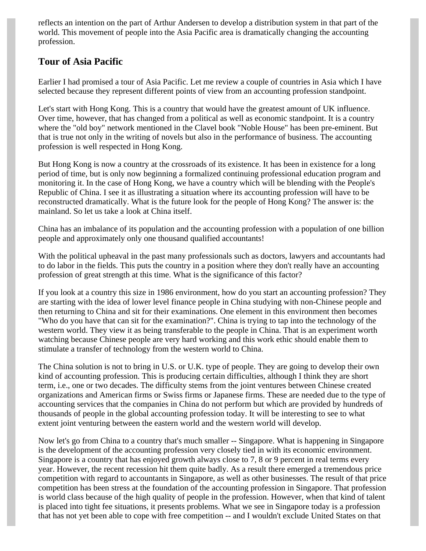reflects an intention on the part of Arthur Andersen to develop a distribution system in that part of the world. This movement of people into the Asia Pacific area is dramatically changing the accounting profession.

#### **Tour of Asia Pacific**

Earlier I had promised a tour of Asia Pacific. Let me review a couple of countries in Asia which I have selected because they represent different points of view from an accounting profession standpoint.

Let's start with Hong Kong. This is a country that would have the greatest amount of UK influence. Over time, however, that has changed from a political as well as economic standpoint. It is a country where the "old boy" network mentioned in the Clavel book "Noble House" has been pre-eminent. But that is true not only in the writing of novels but also in the performance of business. The accounting profession is well respected in Hong Kong.

But Hong Kong is now a country at the crossroads of its existence. It has been in existence for a long period of time, but is only now beginning a formalized continuing professional education program and monitoring it. In the case of Hong Kong, we have a country which will be blending with the People's Republic of China. I see it as illustrating a situation where its accounting profession will have to be reconstructed dramatically. What is the future look for the people of Hong Kong? The answer is: the mainland. So let us take a look at China itself.

China has an imbalance of its population and the accounting profession with a population of one billion people and approximately only one thousand qualified accountants!

With the political upheaval in the past many professionals such as doctors, lawyers and accountants had to do labor in the fields. This puts the country in a position where they don't really have an accounting profession of great strength at this time. What is the significance of this factor?

If you look at a country this size in 1986 environment, how do you start an accounting profession? They are starting with the idea of lower level finance people in China studying with non-Chinese people and then returning to China and sit for their examinations. One element in this environment then becomes "Who do you have that can sit for the examination?". China is trying to tap into the technology of the western world. They view it as being transferable to the people in China. That is an experiment worth watching because Chinese people are very hard working and this work ethic should enable them to stimulate a transfer of technology from the western world to China.

The China solution is not to bring in U.S. or U.K. type of people. They are going to develop their own kind of accounting profession. This is producing certain difficulties, although I think they are short term, i.e., one or two decades. The difficulty stems from the joint ventures between Chinese created organizations and American firms or Swiss firms or Japanese firms. These are needed due to the type of accounting services that the companies in China do not perform but which are provided by hundreds of thousands of people in the global accounting profession today. It will be interesting to see to what extent joint venturing between the eastern world and the western world will develop.

Now let's go from China to a country that's much smaller -- Singapore. What is happening in Singapore is the development of the accounting profession very closely tied in with its economic environment. Singapore is a country that has enjoyed growth always close to 7, 8 or 9 percent in real terms every year. However, the recent recession hit them quite badly. As a result there emerged a tremendous price competition with regard to accountants in Singapore, as well as other businesses. The result of that price competition has been stress at the foundation of the accounting profession in Singapore. That profession is world class because of the high quality of people in the profession. However, when that kind of talent is placed into tight fee situations, it presents problems. What we see in Singapore today is a profession that has not yet been able to cope with free competition -- and I wouldn't exclude United States on that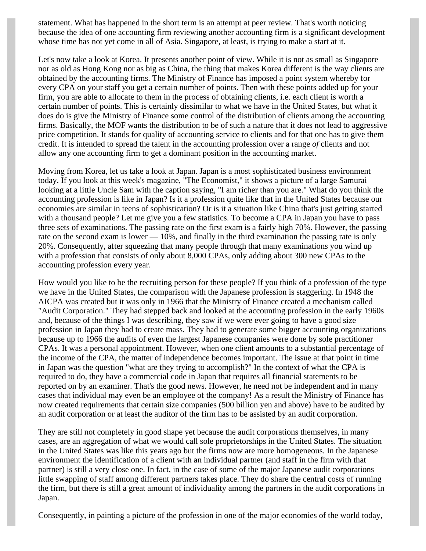statement. What has happened in the short term is an attempt at peer review. That's worth noticing because the idea of one accounting firm reviewing another accounting firm is a significant development whose time has not yet come in all of Asia. Singapore, at least, is trying to make a start at it.

Let's now take a look at Korea. It presents another point of view. While it is not as small as Singapore nor as old as Hong Kong nor as big as China, the thing that makes Korea different is the way clients are obtained by the accounting firms. The Ministry of Finance has imposed a point system whereby for every CPA on your staff you get a certain number of points. Then with these points added up for your firm, you are able to allocate to them in the process of obtaining clients, i.e. each client is worth a certain number of points. This is certainly dissimilar to what we have in the United States, but what it does do is give the Ministry of Finance some control of the distribution of clients among the accounting firms. Basically, the MOF wants the distribution to be of such a nature that it does not lead to aggressive price competition. It stands for quality of accounting service to clients and for that one has to give them credit. It is intended to spread the talent in the accounting profession over a range *of* clients and not allow any one accounting firm to get a dominant position in the accounting market.

Moving from Korea, let us take a look at Japan. Japan is a most sophisticated business environment today. If you look at this week's magazine, "The Economist," it shows a picture of a large Samurai looking at a little Uncle Sam with the caption saying, "I am richer than you are." What do you think the accounting profession is like in Japan? Is it a profession quite like that in the United States because our economies are similar in teens of sophistication? Or is it a situation like China that's just getting started with a thousand people? Let me give you a few statistics. To become a CPA in Japan you have to pass three sets of examinations. The passing rate on the first exam is a fairly high 70%. However, the passing rate on the second exam is lower  $-10\%$ , and finally in the third examination the passing rate is only 20%. Consequently, after squeezing that many people through that many examinations you wind up with a profession that consists of only about 8,000 CPAs, only adding about 300 new CPAs to the accounting profession every year.

How would you like to be the recruiting person for these people? If you think of a profession of the type we have in the United States, the comparison with the Japanese profession is staggering. In 1948 the AICPA was created but it was only in 1966 that the Ministry of Finance created a mechanism called "Audit Corporation." They had stepped back and looked at the accounting profession in the early 1960s and, because of the things I was describing, they saw if we were ever going to have a good size profession in Japan they had to create mass. They had to generate some bigger accounting organizations because up to 1966 the audits of even the largest Japanese companies were done by sole practitioner CPAs. It was a personal appointment. However, when one client amounts to a substantial percentage of the income of the CPA, the matter of independence becomes important. The issue at that point in time in Japan was the question "what are they trying to accomplish?" In the context of what the CPA is required to do, they have a commercial code in Japan that requires all financial statements to be reported on by an examiner. That's the good news. However, he need not be independent and in many cases that individual may even be an employee of the company! As a result the Ministry of Finance has now created requirements that certain size companies (500 billion yen and above) have to be audited by an audit corporation or at least the auditor of the firm has to be assisted by an audit corporation.

They are still not completely in good shape yet because the audit corporations themselves, in many cases, are an aggregation of what we would call sole proprietorships in the United States. The situation in the United States was like this years ago but the firms now are more homogeneous. In the Japanese environment the identification of a client with an individual partner (and staff in the firm with that partner) is still a very close one. In fact, in the case of some of the major Japanese audit corporations little swapping of staff among different partners takes place. They do share the central costs of running the firm, but there is still a great amount of individuality among the partners in the audit corporations in Japan.

Consequently, in painting a picture of the profession in one of the major economies of the world today,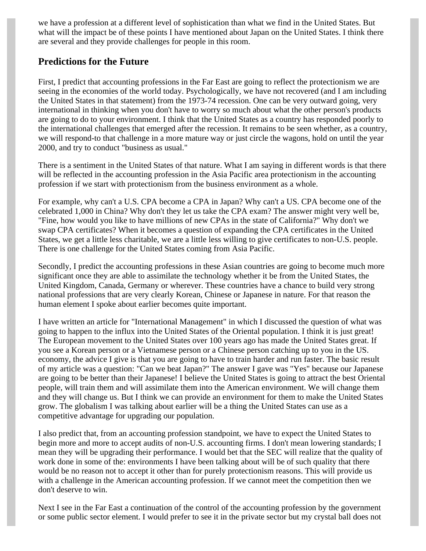we have a profession at a different level of sophistication than what we find in the United States. But what will the impact be of these points I have mentioned about Japan on the United States. I think there are several and they provide challenges for people in this room.

#### **Predictions for the Future**

First, I predict that accounting professions in the Far East are going to reflect the protectionism we are seeing in the economies of the world today. Psychologically, we have not recovered (and I am including the United States in that statement) from the 1973-74 recession. One can be very outward going, very international in thinking when you don't have to worry so much about what the other person's products are going to do to your environment. I think that the United States as a country has responded poorly to the international challenges that emerged after the recession. It remains to be seen whether, as a country, we will respond-to that challenge in a more mature way or just circle the wagons, hold on until the year 2000, and try to conduct "business as usual."

There is a sentiment in the United States of that nature. What I am saying in different words is that there will be reflected in the accounting profession in the Asia Pacific area protectionism in the accounting profession if we start with protectionism from the business environment as a whole.

For example, why can't a U.S. CPA become a CPA in Japan? Why can't a US. CPA become one of the celebrated 1,000 in China? Why don't they let us take the CPA exam? The answer might very well be, "Fine, how would you like to have millions of new CPAs in the state of California?" Why don't we swap CPA certificates? When it becomes a question of expanding the CPA certificates in the United States, we get a little less charitable, we are a little less willing to give certificates to non-U.S. people. There is one challenge for the United States coming from Asia Pacific.

Secondly, I predict the accounting professions in these Asian countries are going to become much more significant once they are able to assimilate the technology whether it be from the United States, the United Kingdom, Canada, Germany or wherever. These countries have a chance to build very strong national professions that are very clearly Korean, Chinese or Japanese in nature. For that reason the human element I spoke about earlier becomes quite important.

I have written an article for "International Management" in which I discussed the question of what was going to happen to the influx into the United States of the Oriental population. I think it is just great! The European movement to the United States over 100 years ago has made the United States great. If you see a Korean person or a Vietnamese person or a Chinese person catching up to you in the US. economy, the advice I give is that you are going to have to train harder and run faster. The basic result of my article was a question: "Can we beat Japan?" The answer I gave was "Yes" because our Japanese are going to be better than their Japanese! I believe the United States is going to attract the best Oriental people, will train them and will assimilate them into the American environment. We will change them and they will change us. But I think we can provide an environment for them to make the United States grow. The globalism I was talking about earlier will be a thing the United States can use as a competitive advantage for upgrading our population.

I also predict that, from an accounting profession standpoint, we have to expect the United States to begin more and more to accept audits of non-U.S. accounting firms. I don't mean lowering standards; I mean they will be upgrading their performance. I would bet that the SEC will realize that the quality of work done in some of the: environments I have been talking about will be of such quality that there would be no reason not to accept it other than for purely protectionism reasons. This will provide us with a challenge in the American accounting profession. If we cannot meet the competition then we don't deserve to win.

Next I see in the Far East a continuation of the control of the accounting profession by the government or some public sector element. I would prefer to see it in the private sector but my crystal ball does not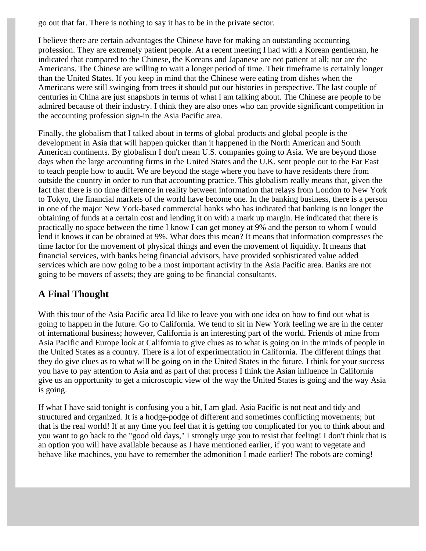go out that far. There is nothing to say it has to be in the private sector.

I believe there are certain advantages the Chinese have for making an outstanding accounting profession. They are extremely patient people. At a recent meeting I had with a Korean gentleman, he indicated that compared to the Chinese, the Koreans and Japanese are not patient at all; nor are the Americans. The Chinese are willing to wait a longer period of time. Their timeframe is certainly longer than the United States. If you keep in mind that the Chinese were eating from dishes when the Americans were still swinging from trees it should put our histories in perspective. The last couple of centuries in China are just snapshots in terms of what I am talking about. The Chinese are people to be admired because of their industry. I think they are also ones who can provide significant competition in the accounting profession sign-in the Asia Pacific area.

Finally, the globalism that I talked about in terms of global products and global people is the development in Asia that will happen quicker than it happened in the North American and South American continents. By globalism I don't mean U.S. companies going to Asia. We are beyond those days when the large accounting firms in the United States and the U.K. sent people out to the Far East to teach people how to audit. We are beyond the stage where you have to have residents there from outside the country in order to run that accounting practice. This globalism really means that, given the fact that there is no time difference in reality between information that relays from London to New York to Tokyo, the financial markets of the world have become one. In the banking business, there is a person in one of the major New York-based commercial banks who has indicated that banking is no longer the obtaining of funds at a certain cost and lending it on with a mark up margin. He indicated that there is practically no space between the time I know I can get money at 9% and the person to whom I would lend it knows it can be obtained at 9%. What does this mean? It means that information compresses the time factor for the movement of physical things and even the movement of liquidity. It means that financial services, with banks being financial advisors, have provided sophisticated value added services which are now going to be a most important activity in the Asia Pacific area. Banks are not going to be movers of assets; they are going to be financial consultants.

### **A Final Thought**

With this tour of the Asia Pacific area I'd like to leave you with one idea on how to find out what is going to happen in the future. Go to California. We tend to sit in New York feeling we are in the center of international business; however, California is an interesting part of the world. Friends of mine from Asia Pacific and Europe look at California to give clues as to what is going on in the minds of people in the United States as a country. There is a lot of experimentation in California. The different things that they do give clues as to what will be going on in the United States in the future. I think for your success you have to pay attention to Asia and as part of that process I think the Asian influence in California give us an opportunity to get a microscopic view of the way the United States is going and the way Asia is going.

If what I have said tonight is confusing you a bit, I am glad. Asia Pacific is not neat and tidy and structured and organized. It is a hodge-podge of different and sometimes conflicting movements; but that is the real world! If at any time you feel that it is getting too complicated for you to think about and you want to go back to the "good old days," I strongly urge you to resist that feeling! I don't think that is an option you will have available because as I have mentioned earlier, if you want to vegetate and behave like machines, you have to remember the admonition I made earlier! The robots are coming!